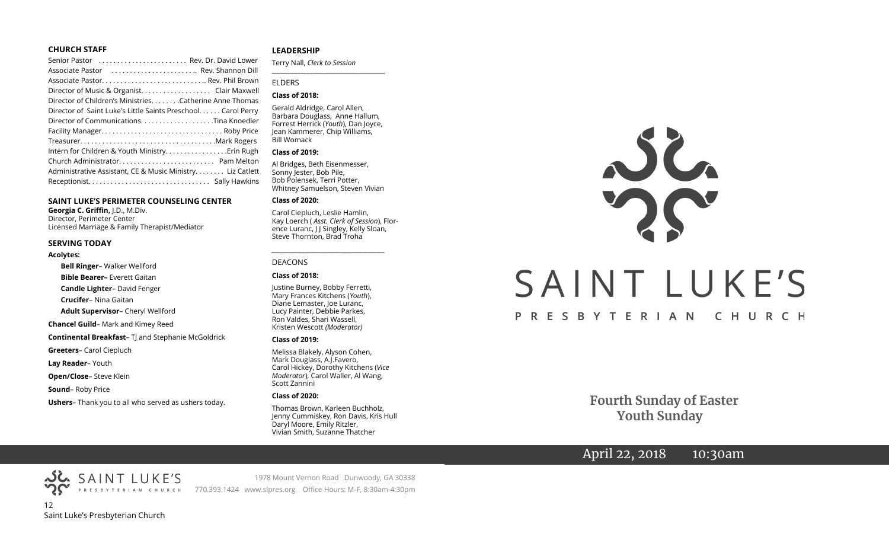## **CHURCH STAFF**

## **SAINT LUKE'S PERIMETER COUNSELING CENTER**

**Georgia C. Griffin,** J.D., M.Div. Director, Perimeter Center Licensed Marriage & Family Therapist/Mediator

#### **SERVING TODAY**

#### **Acolytes:**

**Bell Ringer**– Walker Wellford **Bible Bearer–** Everett Gaitan **Candle Lighter**– David Fenger **Crucifer**– Nina Gaitan **Adult Supervisor**– Cheryl Wellford **Chancel Guild**– Mark and Kimey Reed **Continental Breakfast-T** and Stephanie McGoldrick **Greeters**– Carol Ciepluch **Lay Reader**– Youth **Open/Close**– Steve Klein **Sound**– Roby Price

#### **Ushers**– Thank you to all who served as ushers today.

## **LEADERSHIP**

Terry Nall, *Clerk to Session* 

**\_\_\_\_\_\_\_\_\_\_\_\_\_\_\_\_\_\_\_\_\_\_\_\_\_\_\_\_\_\_\_\_\_\_\_\_\_\_\_**

## ELDERS

## **Class of 2018:**

Gerald Aldridge, Carol Allen, Barbara Douglass, Anne Hallum, Forrest Herrick (*Youth*), Dan Joyce, Jean Kammerer, Chip Williams, Bill Womack

### **Class of 2019:**

Al Bridges, Beth Eisenmesser, Sonny Jester, Bob Pile, Bob Polensek, Terri Potter, Whitney Samuelson, Steven Vivian

## **Class of 2020:**

Carol Ciepluch, Leslie Hamlin, Kay Loerch ( *Asst. Clerk of Session*), Florence Luranc, J J Singley, Kelly Sloan, Steve Thornton, Brad Troha

*\_\_\_\_\_\_\_\_\_\_\_\_\_\_\_\_\_\_\_\_\_\_\_\_\_\_\_\_\_\_\_\_\_\_\_\_\_*

## DEACONS

#### **Class of 2018:**

Justine Burney, Bobby Ferretti, Mary Frances Kitchens (*Youth*), Diane Lemaster, Joe Luranc, Lucy Painter, Debbie Parkes, Ron Valdes, Shari Wassell, Kristen Wescott *(Moderator)*

### **Class of 2019:**

Melissa Blakely, Alyson Cohen, Mark Douglass, A.J.Favero, Carol Hickey, Dorothy Kitchens (*Vice Moderator*), Carol Waller, Al Wang, Scott Zannini

#### **Class of 2020:**

Thomas Brown, Karleen Buchholz, Jenny Cummiskey, Ron Davis, Kris Hull Daryl Moore, Emily Ritzler, Vivian Smith, Suzanne Thatcher



 **Fourth Sunday of Easter Youth Sunday**

# April 22, 2018 10:30am

12 Saint Luke's Presbyterian Church

SAINT LUKE'S

1978 Mount Vernon Road Dunwoody, GA 30338 PRESBYTERIAN CHURCH 770.393.1424 www.slpres.org Office Hours: M-F, 8:30am-4:30pm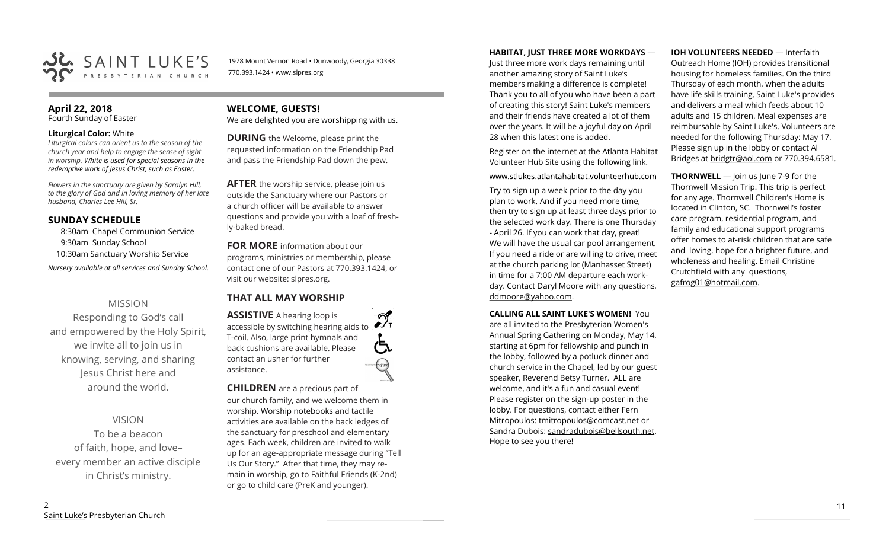

1978 Mount Vernon Road • Dunwoody, Georgia 30338 770.393.1424 • www.slpres.org

# **April 22, 2018**

Fourth Sunday of Easter

## **Liturgical Color:** White

*Liturgical colors can orient us to the season of the church year and help to engage the sense of sight in worship. White is used for special seasons in the redemptive work of Jesus Christ, such as Easter.* 

*Flowers in the sanctuary are given by Saralyn Hill, to the glory of God and in loving memory of her late husband, Charles Lee Hill, Sr.* 

# **SUNDAY SCHEDULE**

8:30am Chapel Communion Service 9:30am Sunday School 10:30am Sanctuary Worship Service

*Nursery available at all services and Sunday School.* 

# MISSION

Responding to God's call and empowered by the Holy Spirit, we invite all to join us in knowing, serving, and sharing Jesus Christ here and around the world.

VISION

To be a beacon of faith, hope, and love– every member an active disciple in Christ's ministry.

# **WELCOME, GUESTS!**

We are delighted you are worshipping with us.

**DURING** the Welcome, please print the requested information on the Friendship Pad and pass the Friendship Pad down the pew.

**AFTER** the worship service, please join us outside the Sanctuary where our Pastors or a church officer will be available to answer questions and provide you with a loaf of freshly-baked bread.

**FOR MORE** information about our programs, ministries or membership, please contact one of our Pastors at 770.393.1424, or visit our website: slpres.org.

# **THAT ALL MAY WORSHIP**

**ASSISTIVE** A hearing loop is  $\mathcal{D}_{\mathbf{r}}$ accessible by switching hearing aids to T-coil. Also, large print hymnals and back cushions are available. Please contact an usher for further assistance.

**CHILDREN** are a precious part of our church family, and we welcome them in worship. Worship notebooks and tactile activities are available on the back ledges of the sanctuary for preschool and elementary ages. Each week, children are invited to walk up for an age-appropriate message during "Tell Us Our Story." After that time, they may remain in worship, go to Faithful Friends (K-2nd) or go to child care (PreK and younger).

## **HABITAT, JUST THREE MORE WORKDAYS** —

Just three more work days remaining until another amazing story of Saint Luke's members making a difference is complete! Thank you to all of you who have been a part of creating this story! Saint Luke's members and their friends have created a lot of them over the years. It will be a joyful day on April 28 when this latest one is added.

Register on the internet at the Atlanta Habitat Volunteer Hub Site using the following link.

## www.stlukes.atlantahabitat.volunteerhub.com

Try to sign up a week prior to the day you plan to work. And if you need more time, then try to sign up at least three days prior to the selected work day. There is one Thursday - April 26. If you can work that day, great! We will have the usual car pool arrangement. If you need a ride or are willing to drive, meet at the church parking lot (Manhasset Street) in time for a 7:00 AM departure each workday. Contact Daryl Moore with any questions, ddmoore@yahoo.com.

**CALLING ALL SAINT LUKE'S WOMEN!** You are all invited to the Presbyterian Women's Annual Spring Gathering on Monday, May 14, starting at 6pm for fellowship and punch in the lobby, followed by a potluck dinner and church service in the Chapel, led by our guest speaker, Reverend Betsy Turner. ALL are welcome, and it's a fun and casual event! Please register on the sign-up poster in the lobby. For questions, contact either Fern Mitropoulos: [tmitropoulos@comcast.net](mailto:tmitropoulos@comcast.net) or Sandra Dubois: sandradubois@bellsouth.net. Hope to see you there!

## **IOH VOLUNTEERS NEEDED** — Interfaith

Outreach Home (IOH) provides transitional housing for homeless families. On the third Thursday of each month, when the adults have life skills training, Saint Luke's provides and delivers a meal which feeds about 10 adults and 15 children. Meal expenses are reimbursable by Saint Luke's. Volunteers are needed for the following Thursday: May 17. Please sign up in the lobby or contact Al Bridges at [bridgtr@aol.com](mailto:bridgtr@aol.com) or 770.394.6581.

**THORNWELL** — Join us June 7-9 for the Thornwell Mission Trip. This trip is perfect for any age. Thornwell Children's Home is located in Clinton, SC. Thornwell's foster care program, residential program, and family and educational support programs offer homes to at-risk children that are safe and loving, hope for a brighter future, and wholeness and healing. Email Christine Crutchfield with any questions, gafrog01@hotmail.com.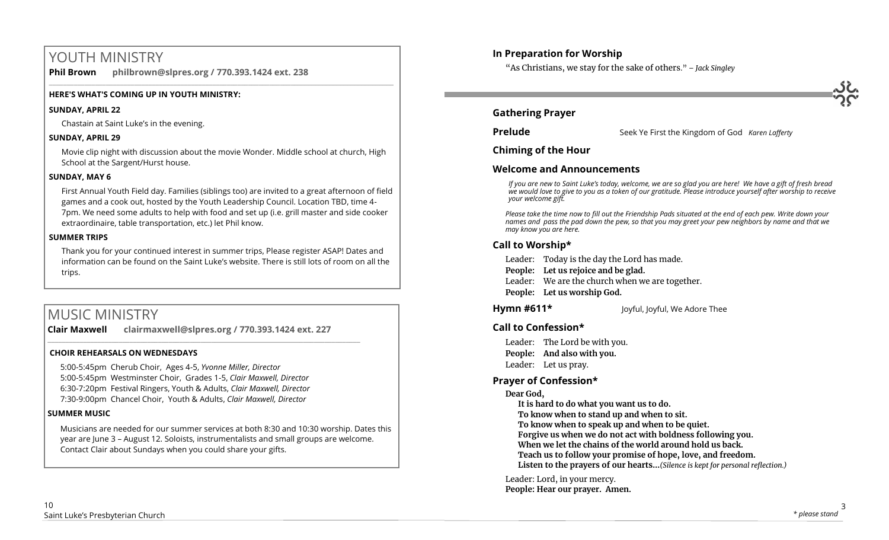# YOUTH MINISTRY

**Phil Brown philbrown@slpres.org / 770.393.1424 ext. 238**   $\_$  ,  $\_$  ,  $\_$  ,  $\_$  ,  $\_$  ,  $\_$  ,  $\_$  ,  $\_$  ,  $\_$  ,  $\_$  ,  $\_$  ,  $\_$  ,  $\_$  ,  $\_$  ,  $\_$  ,  $\_$  ,  $\_$  ,  $\_$  ,  $\_$  ,  $\_$  ,  $\_$  ,  $\_$  ,  $\_$  ,  $\_$  ,  $\_$  ,  $\_$  ,  $\_$  ,  $\_$  ,  $\_$  ,  $\_$  ,  $\_$  ,  $\_$  ,  $\_$  ,  $\_$  ,  $\_$  ,  $\_$  ,  $\_$  ,

# **HERE'S WHAT'S COMING UP IN YOUTH MINISTRY:**

# **SUNDAY, APRIL 22**

Chastain at Saint Luke's in the evening.

# **SUNDAY, APRIL 29**

Movie clip night with discussion about the movie Wonder. Middle school at church, High School at the Sargent/Hurst house.

# **SUNDAY, MAY 6**

First Annual Youth Field day. Families (siblings too) are invited to a great afternoon of field games and a cook out, hosted by the Youth Leadership Council. Location TBD, time 4- 7pm. We need some adults to help with food and set up (i.e. grill master and side cooker extraordinaire, table transportation, etc.) let Phil know.

# **SUMMER TRIPS**

Thank you for your continued interest in summer trips, Please register ASAP! Dates and information can be found on the Saint Luke's website. There is still lots of room on all the trips.

# MUSIC MINISTRY

**Clair Maxwell clairmaxwell@slpres.org / 770.393.1424 ext. 227** 

\_\_\_\_\_\_\_\_\_\_\_\_\_\_\_\_\_\_\_\_\_\_\_\_\_\_\_\_\_\_\_\_\_\_\_\_\_\_\_\_\_\_\_\_\_\_\_\_\_\_\_\_\_\_\_\_\_\_\_\_\_\_\_\_\_\_\_\_\_\_\_\_\_\_\_\_\_\_\_\_\_\_\_\_\_\_\_\_

# **CHOIR REHEARSALS ON WEDNESDAYS**

5:00-5:45pm Cherub Choir, Ages 4-5, *Yvonne Miller, Director*  5:00-5:45pm Westminster Choir, Grades 1-5, *Clair Maxwell, Director*  6:30-7:20pm Festival Ringers, Youth & Adults, *Clair Maxwell, Director*  7:30-9:00pm Chancel Choir, Youth & Adults, *Clair Maxwell, Director* 

# **SUMMER MUSIC**

Musicians are needed for our summer services at both 8:30 and 10:30 worship. Dates this year are June 3 – August 12. Soloists, instrumentalists and small groups are welcome. Contact Clair about Sundays when you could share your gifts.

# **In Preparation for Worship**

"As Christians, we stay for the sake of others." *– Jack Singley*

# **Gathering Prayer**

**Prelude** Seek Ye First the Kingdom of God *Karen Lafferty* 

**Chiming of the Hour**

# **Welcome and Announcements**

*If you are new to Saint Luke's today, welcome, we are so glad you are here! We have a gift of fresh bread we would love to give to you as a token of our gratitude. Please introduce yourself after worship to receive your welcome gift.*

*Please take the time now to fill out the Friendship Pads situated at the end of each pew. Write down your names and pass the pad down the pew, so that you may greet your pew neighbors by name and that we may know you are here.*

# **Call to Worship\***

Leader: Today is the day the Lord has made.

- **People: Let us rejoice and be glad.**
- Leader: We are the church when we are together.
- **People: Let us worship God.**

# **Hymn #611\*** Joyful, Joyful, We Adore Thee

**Call to Confession\***

Leader: The Lord be with you. **People: And also with you.** Leader: Let us pray.

# **Prayer of Confession\***

# **Dear God,**

**It is hard to do what you want us to do.** 

**To know when to stand up and when to sit.** 

**To know when to speak up and when to be quiet.** 

**Forgive us when we do not act with boldness following you.** 

**When we let the chains of the world around hold us back.** 

**Teach us to follow your promise of hope, love, and freedom.** 

**Listen to the prayers of our hearts...***(Silence is kept for personal reflection.)*

Leader: Lord, in your mercy.

**People: Hear our prayer. Amen.**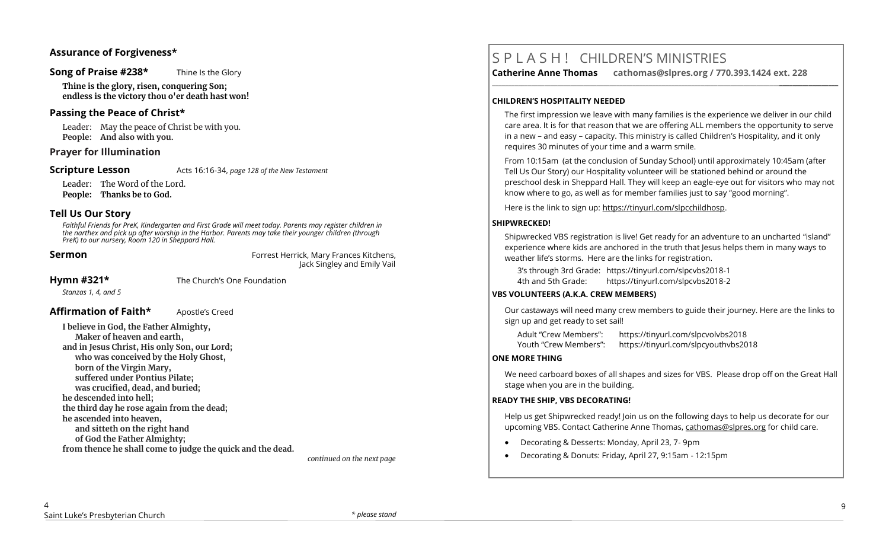## **Assurance of Forgiveness\***

## **Song of Praise #238\*** Thine Is the Glory

**Thine is the glory, risen, conquering Son; endless is the victory thou o'er death hast won!**

## **Passing the Peace of Christ\***

Leader: May the peace of Christ be with you. **People: And also with you.** 

## **Prayer for Illumination**

**Scripture Lesson** Acts 16:16-34, *page 128 of the New Testament* 

Leader: The Word of the Lord. **People: Thanks be to God.**

## **Tell Us Our Story**

*Faithful Friends for PreK, Kindergarten and First Grade will meet today. Parents may register children in the narthex and pick up after worship in the Harbor. Parents may take their younger children (through PreK) to our nursery, Room 120 in Sheppard Hall.* 

**Sermon Forrest Herrick, Mary Frances Kitchens,** Jack Singley and Emily Vail

**Hymn #321\*** The Church's One Foundation

*Stanzas 1, 4, and 5*

## **Affirmation of Faith\*** Apostle's Creed

**I believe in God, the Father Almighty, Maker of heaven and earth, and in Jesus Christ, His only Son, our Lord; who was conceived by the Holy Ghost, born of the Virgin Mary, suffered under Pontius Pilate; was crucified, dead, and buried; he descended into hell; the third day he rose again from the dead; he ascended into heaven, and sitteth on the right hand of God the Father Almighty; from thence he shall come to judge the quick and the dead.**

 *continued on the next page*

# S P L A S H ! CHILDREN'S MINISTRIES

**Catherine Anne Thomas cathomas@slpres.org / 770.393.1424 ext. 228 \_\_\_\_\_\_\_\_\_\_\_\_\_\_\_\_\_\_\_\_\_\_\_\_\_\_\_\_\_\_\_\_\_\_\_\_\_\_\_\_\_\_\_\_\_\_\_\_\_\_\_\_\_\_\_\_\_\_\_\_\_\_\_\_\_\_\_\_\_\_\_\_\_\_\_\_\_\_\_\_\_\_\_\_\_\_\_\_\_\_\_\_\_\_\_\_\_\_\_\_\_\_\_\_\_\_** 

## **CHILDREN'S HOSPITALITY NEEDED**

The first impression we leave with many families is the experience we deliver in our child care area. It is for that reason that we are offering ALL members the opportunity to serve in a new – and easy – capacity. This ministry is called Children's Hospitality, and it only requires 30 minutes of your time and a warm smile.

From 10:15am (at the conclusion of Sunday School) until approximately 10:45am (after Tell Us Our Story) our Hospitality volunteer will be stationed behind or around the preschool desk in Sheppard Hall. They will keep an eagle-eye out for visitors who may not know where to go, as well as for member families just to say "good morning".

Here is the link to sign up: https://tinyurl.com/slpcchildhosp.

## **SHIPWRECKED!**

Shipwrecked VBS registration is live! Get ready for an adventure to an uncharted "island" experience where kids are anchored in the truth that Jesus helps them in many ways to weather life's storms. Here are the links for registration.

3's through 3rd Grade: https://tinyurl.com/slpcvbs2018-1 4th and 5th Grade: https://tinyurl.com/slpcvbs2018-2

## **VBS VOLUNTEERS (A.K.A. CREW MEMBERS)**

Our castaways will need many crew members to guide their journey. Here are the links to sign up and get ready to set sail!

Adult "Crew Members": https://tinyurl.com/slpcvolvbs2018 Youth "Crew Members": https://tinyurl.com/slpcyouthvbs2018

## **ONE MORE THING**

We need carboard boxes of all shapes and sizes for VBS. Please drop off on the Great Hall stage when you are in the building.

## **READY THE SHIP, VBS DECORATING!**

Help us get Shipwrecked ready! Join us on the following days to help us decorate for our upcoming VBS. Contact Catherine Anne Thomas, [cathomas@slpres.org](mailto:cathomas@slpres.org) for child care.

- Decorating & Desserts: Monday, April 23, 7- 9pm
- Decorating & Donuts: Friday, April 27, 9:15am 12:15pm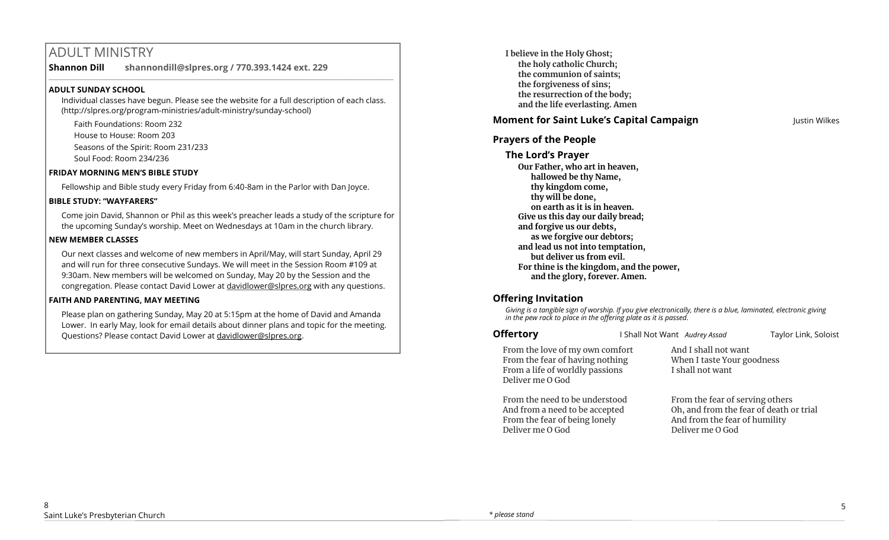# ADULT MINISTRY

**Shannon Dill shannondill@slpres.org / 770.393.1424 ext. 229**   $\_$  ,  $\_$  ,  $\_$  ,  $\_$  ,  $\_$  ,  $\_$  ,  $\_$  ,  $\_$  ,  $\_$  ,  $\_$  ,  $\_$  ,  $\_$  ,  $\_$  ,  $\_$  ,  $\_$  ,  $\_$  ,  $\_$  ,  $\_$  ,  $\_$  ,  $\_$ 

# **ADULT SUNDAY SCHOOL**

Individual classes have begun. Please see the website for a full description of each class. (http://slpres.org/program-ministries/adult-ministry/sunday-school)

Faith Foundations: Room 232 House to House: Room 203 Seasons of the Spirit: Room 231/233 Soul Food: Room 234/236

## **FRIDAY MORNING MEN'S BIBLE STUDY**

Fellowship and Bible study every Friday from 6:40-8am in the Parlor with Dan Joyce.

## **BIBLE STUDY: "WAYFARERS"**

Come join David, Shannon or Phil as this week's preacher leads a study of the scripture for the upcoming Sunday's worship. Meet on Wednesdays at 10am in the church library.

## **NEW MEMBER CLASSES**

Our next classes and welcome of new members in April/May, will start Sunday, April 29 and will run for three consecutive Sundays. We will meet in the Session Room #109 at 9:30am. New members will be welcomed on Sunday, May 20 by the Session and the congregation. Please contact David Lower at davidlower@slpres.org with any questions.

# **FAITH AND PARENTING, MAY MEETING**

Please plan on gathering Sunday, May 20 at 5:15pm at the home of David and Amanda Lower. In early May, look for email details about dinner plans and topic for the meeting. Questions? Please contact David Lower at davidlower@slpres.org.

**I believe in the Holy Ghost; the holy catholic Church; the communion of saints; the forgiveness of sins; the resurrection of the body; and the life everlasting. Amen**

# **Moment for Saint Luke's Capital Campaign Justin Wilkes**

# **Prayers of the People**

**The Lord's Prayer Our Father, who art in heaven, hallowed be thy Name, thy kingdom come, thy will be done, on earth as it is in heaven. Give us this day our daily bread; and forgive us our debts, as we forgive our debtors; and lead us not into temptation, but deliver us from evil. For thine is the kingdom, and the power, and the glory, forever. Amen.** 

# **Offering Invitation**

Deliver me O God

*Giving is a tangible sign of worship. If you give electronically, there is a blue, laminated, electronic giving in the pew rack to place in the offering plate as it is passed.*

| <b>Offertory</b>                                                                                                          | I Shall Not Want Audrey Assad                                          | Taylor Link, Soloist                                                                                        |  |
|---------------------------------------------------------------------------------------------------------------------------|------------------------------------------------------------------------|-------------------------------------------------------------------------------------------------------------|--|
| From the love of my own comfort<br>From the fear of having nothing<br>From a life of worldly passions<br>Deliver me O God | And I shall not want<br>When I taste Your goodness<br>I shall not want |                                                                                                             |  |
| From the need to be understood<br>And from a need to be accepted<br>From the fear of being lonely                         |                                                                        | From the fear of serving others<br>Oh, and from the fear of death or trial<br>And from the fear of humility |  |

Deliver me O God